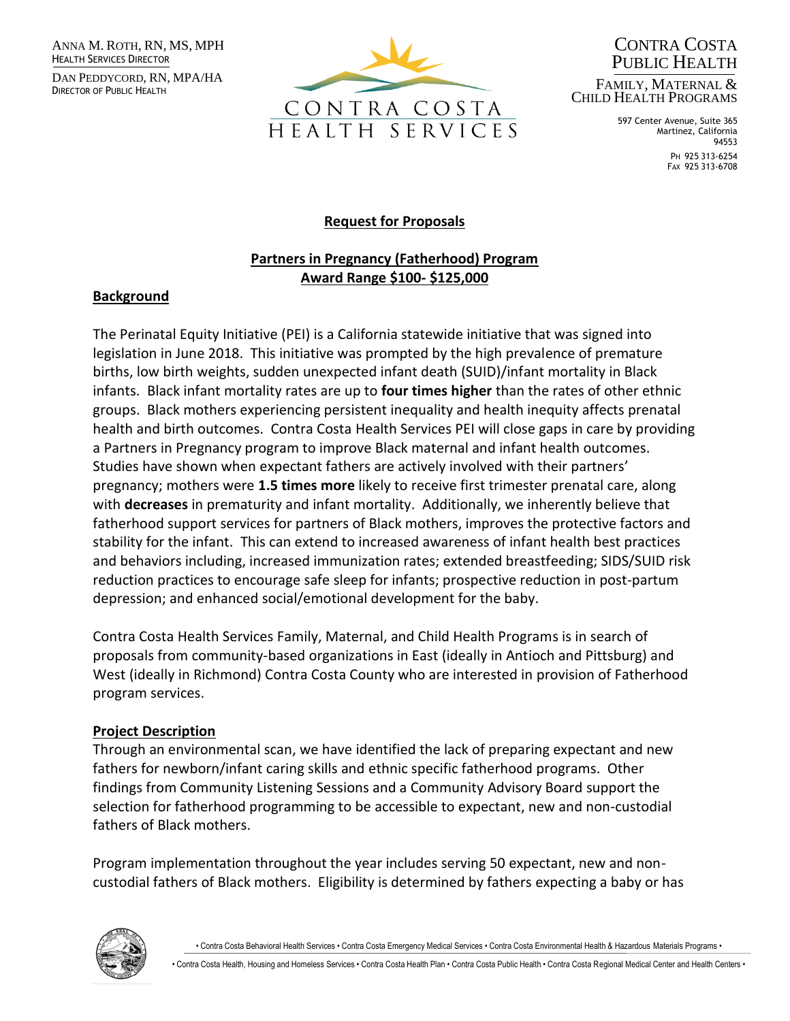ANNA M. ROTH, RN, MS, MPH HEALTH SERVICES DIRECTOR

DAN PEDDYCORD, RN, MPA/HA DIRECTOR OF PUBLIC HEALTH



CONTRA COSTA PUBLIC HEALTH FAMILY, MATERNAL & CHILD HEALTH PROGRAMS

> 597 Center Avenue, Suite 365 Martinez, California 94553

PH 925 313-6254 FAX 925 313-6708

## **Request for Proposals**

# **Partners in Pregnancy (Fatherhood) Program Award Range \$100- \$125,000**

#### **Background**

The Perinatal Equity Initiative (PEI) is a California statewide initiative that was signed into legislation in June 2018. This initiative was prompted by the high prevalence of premature births, low birth weights, sudden unexpected infant death (SUID)/infant mortality in Black infants. Black infant mortality rates are up to **four times higher** than the rates of other ethnic groups. Black mothers experiencing persistent inequality and health inequity affects prenatal health and birth outcomes. Contra Costa Health Services PEI will close gaps in care by providing a Partners in Pregnancy program to improve Black maternal and infant health outcomes. Studies have shown when expectant fathers are actively involved with their partners' pregnancy; mothers were **1.5 times more** likely to receive first trimester prenatal care, along with **decreases** in prematurity and infant mortality. Additionally, we inherently believe that fatherhood support services for partners of Black mothers, improves the protective factors and stability for the infant. This can extend to increased awareness of infant health best practices and behaviors including, increased immunization rates; extended breastfeeding; SIDS/SUID risk reduction practices to encourage safe sleep for infants; prospective reduction in post-partum depression; and enhanced social/emotional development for the baby.

Contra Costa Health Services Family, Maternal, and Child Health Programs is in search of proposals from community-based organizations in East (ideally in Antioch and Pittsburg) and West (ideally in Richmond) Contra Costa County who are interested in provision of Fatherhood program services.

#### **Project Description**

Through an environmental scan, we have identified the lack of preparing expectant and new fathers for newborn/infant caring skills and ethnic specific fatherhood programs. Other findings from Community Listening Sessions and a Community Advisory Board support the selection for fatherhood programming to be accessible to expectant, new and non-custodial fathers of Black mothers.

Program implementation throughout the year includes serving 50 expectant, new and noncustodial fathers of Black mothers. Eligibility is determined by fathers expecting a baby or has



• Contra Costa Behavioral Health Services • Contra Costa Emergency Medical Services • Contra Costa Environmental Health & Hazardous Materials Programs •

• Contra Costa Health, Housing and Homeless Services • Contra Costa Health Plan • Contra Costa Public Health • Contra Costa Regional Medical Center and Health Centers •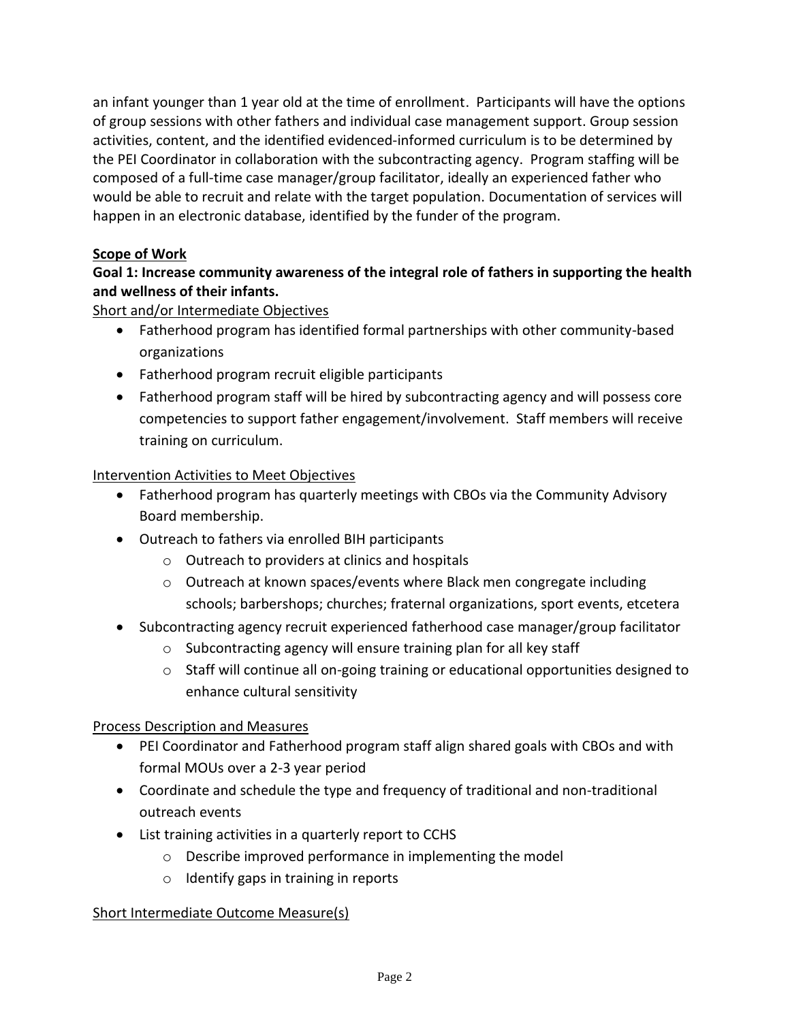an infant younger than 1 year old at the time of enrollment. Participants will have the options of group sessions with other fathers and individual case management support. Group session activities, content, and the identified evidenced-informed curriculum is to be determined by the PEI Coordinator in collaboration with the subcontracting agency. Program staffing will be composed of a full-time case manager/group facilitator, ideally an experienced father who would be able to recruit and relate with the target population. Documentation of services will happen in an electronic database, identified by the funder of the program.

# **Scope of Work**

# **Goal 1: Increase community awareness of the integral role of fathers in supporting the health and wellness of their infants.**

Short and/or Intermediate Objectives

- Fatherhood program has identified formal partnerships with other community-based organizations
- Fatherhood program recruit eligible participants
- Fatherhood program staff will be hired by subcontracting agency and will possess core competencies to support father engagement/involvement. Staff members will receive training on curriculum.

## Intervention Activities to Meet Objectives

- Fatherhood program has quarterly meetings with CBOs via the Community Advisory Board membership.
- Outreach to fathers via enrolled BIH participants
	- o Outreach to providers at clinics and hospitals
	- o Outreach at known spaces/events where Black men congregate including schools; barbershops; churches; fraternal organizations, sport events, etcetera
- Subcontracting agency recruit experienced fatherhood case manager/group facilitator
	- o Subcontracting agency will ensure training plan for all key staff
	- $\circ$  Staff will continue all on-going training or educational opportunities designed to enhance cultural sensitivity

## Process Description and Measures

- PEI Coordinator and Fatherhood program staff align shared goals with CBOs and with formal MOUs over a 2-3 year period
- Coordinate and schedule the type and frequency of traditional and non-traditional outreach events
- List training activities in a quarterly report to CCHS
	- o Describe improved performance in implementing the model
	- o Identify gaps in training in reports

## Short Intermediate Outcome Measure(s)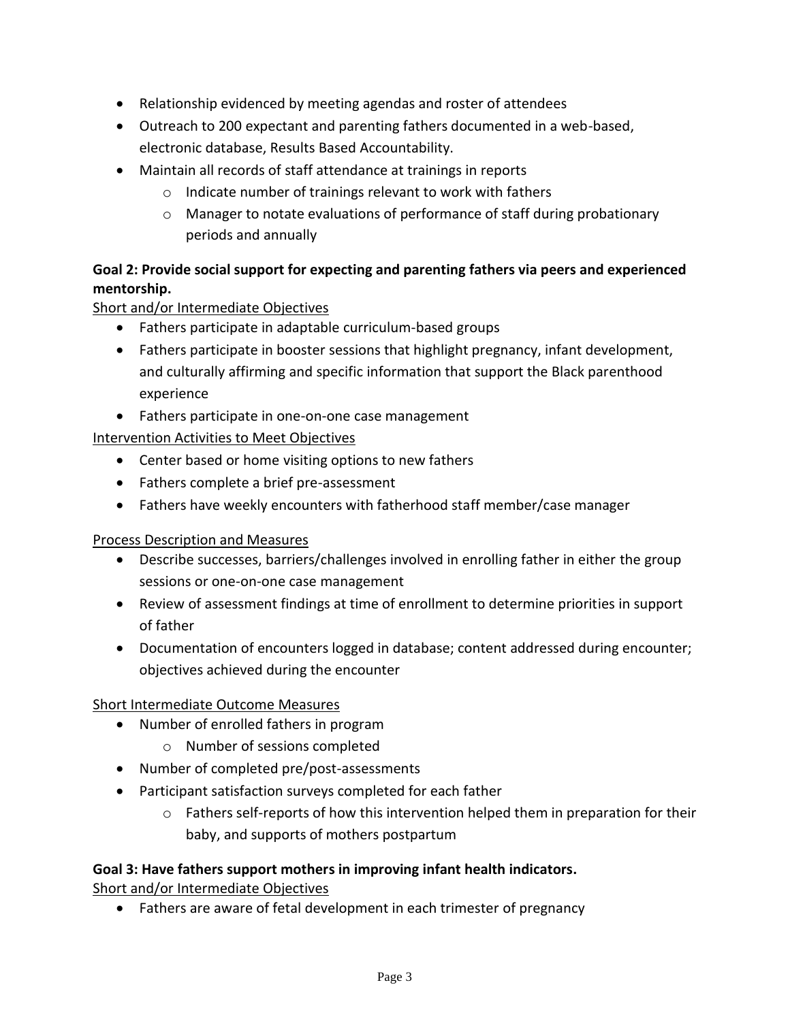- Relationship evidenced by meeting agendas and roster of attendees
- Outreach to 200 expectant and parenting fathers documented in a web-based, electronic database, Results Based Accountability.
- Maintain all records of staff attendance at trainings in reports
	- o Indicate number of trainings relevant to work with fathers
	- $\circ$  Manager to notate evaluations of performance of staff during probationary periods and annually

# **Goal 2: Provide social support for expecting and parenting fathers via peers and experienced mentorship.**

# Short and/or Intermediate Objectives

- Fathers participate in adaptable curriculum-based groups
- Fathers participate in booster sessions that highlight pregnancy, infant development, and culturally affirming and specific information that support the Black parenthood experience
- Fathers participate in one-on-one case management

# Intervention Activities to Meet Objectives

- Center based or home visiting options to new fathers
- Fathers complete a brief pre-assessment
- Fathers have weekly encounters with fatherhood staff member/case manager

## Process Description and Measures

- Describe successes, barriers/challenges involved in enrolling father in either the group sessions or one-on-one case management
- Review of assessment findings at time of enrollment to determine priorities in support of father
- Documentation of encounters logged in database; content addressed during encounter; objectives achieved during the encounter

## Short Intermediate Outcome Measures

- Number of enrolled fathers in program
	- o Number of sessions completed
- Number of completed pre/post-assessments
- Participant satisfaction surveys completed for each father
	- $\circ$  Fathers self-reports of how this intervention helped them in preparation for their baby, and supports of mothers postpartum

## **Goal 3: Have fathers support mothers in improving infant health indicators.**

Short and/or Intermediate Objectives

• Fathers are aware of fetal development in each trimester of pregnancy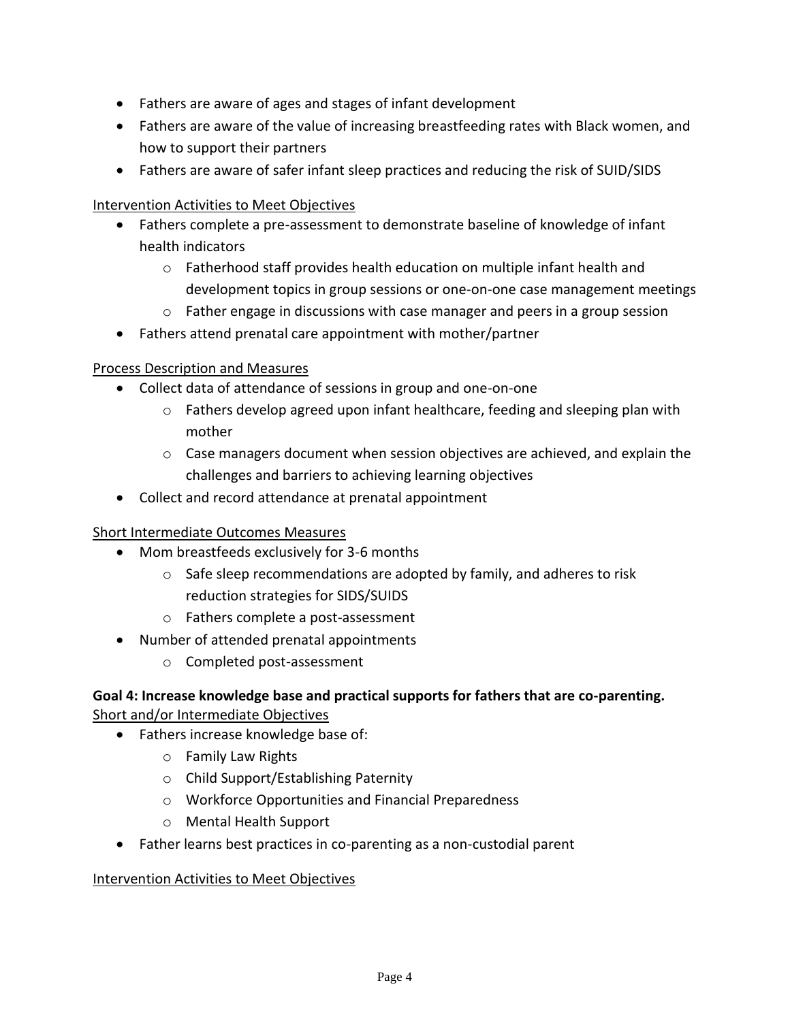- Fathers are aware of ages and stages of infant development
- Fathers are aware of the value of increasing breastfeeding rates with Black women, and how to support their partners
- Fathers are aware of safer infant sleep practices and reducing the risk of SUID/SIDS

#### Intervention Activities to Meet Objectives

- Fathers complete a pre-assessment to demonstrate baseline of knowledge of infant health indicators
	- o Fatherhood staff provides health education on multiple infant health and development topics in group sessions or one-on-one case management meetings
	- $\circ$  Father engage in discussions with case manager and peers in a group session
- Fathers attend prenatal care appointment with mother/partner

## Process Description and Measures

- Collect data of attendance of sessions in group and one-on-one
	- $\circ$  Fathers develop agreed upon infant healthcare, feeding and sleeping plan with mother
	- o Case managers document when session objectives are achieved, and explain the challenges and barriers to achieving learning objectives
- Collect and record attendance at prenatal appointment

## Short Intermediate Outcomes Measures

- Mom breastfeeds exclusively for 3-6 months
	- $\circ$  Safe sleep recommendations are adopted by family, and adheres to risk reduction strategies for SIDS/SUIDS
	- o Fathers complete a post-assessment
- Number of attended prenatal appointments
	- o Completed post-assessment

## **Goal 4: Increase knowledge base and practical supports for fathers that are co-parenting.** Short and/or Intermediate Objectives

- Fathers increase knowledge base of:
	- o Family Law Rights
	- o Child Support/Establishing Paternity
	- o Workforce Opportunities and Financial Preparedness
	- o Mental Health Support
- Father learns best practices in co-parenting as a non-custodial parent

## Intervention Activities to Meet Objectives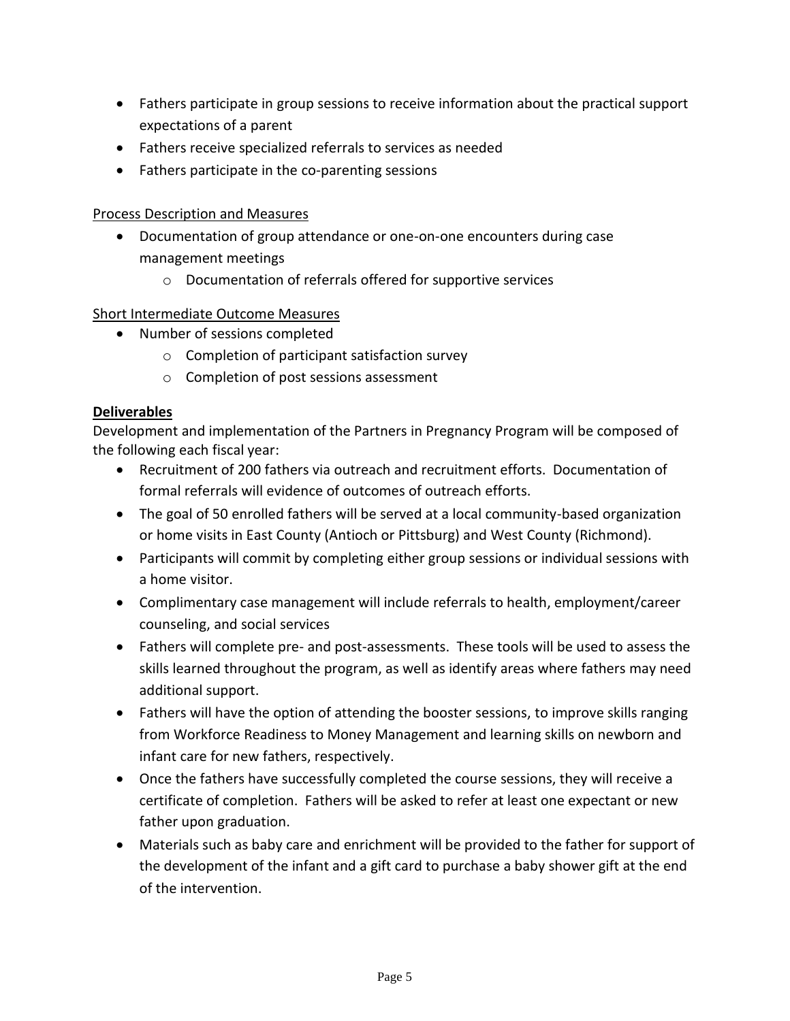- Fathers participate in group sessions to receive information about the practical support expectations of a parent
- Fathers receive specialized referrals to services as needed
- Fathers participate in the co-parenting sessions

#### Process Description and Measures

- Documentation of group attendance or one-on-one encounters during case management meetings
	- o Documentation of referrals offered for supportive services

## Short Intermediate Outcome Measures

- Number of sessions completed
	- o Completion of participant satisfaction survey
	- o Completion of post sessions assessment

#### **Deliverables**

Development and implementation of the Partners in Pregnancy Program will be composed of the following each fiscal year:

- Recruitment of 200 fathers via outreach and recruitment efforts. Documentation of formal referrals will evidence of outcomes of outreach efforts.
- The goal of 50 enrolled fathers will be served at a local community-based organization or home visits in East County (Antioch or Pittsburg) and West County (Richmond).
- Participants will commit by completing either group sessions or individual sessions with a home visitor.
- Complimentary case management will include referrals to health, employment/career counseling, and social services
- Fathers will complete pre- and post-assessments. These tools will be used to assess the skills learned throughout the program, as well as identify areas where fathers may need additional support.
- Fathers will have the option of attending the booster sessions, to improve skills ranging from Workforce Readiness to Money Management and learning skills on newborn and infant care for new fathers, respectively.
- Once the fathers have successfully completed the course sessions, they will receive a certificate of completion. Fathers will be asked to refer at least one expectant or new father upon graduation.
- Materials such as baby care and enrichment will be provided to the father for support of the development of the infant and a gift card to purchase a baby shower gift at the end of the intervention.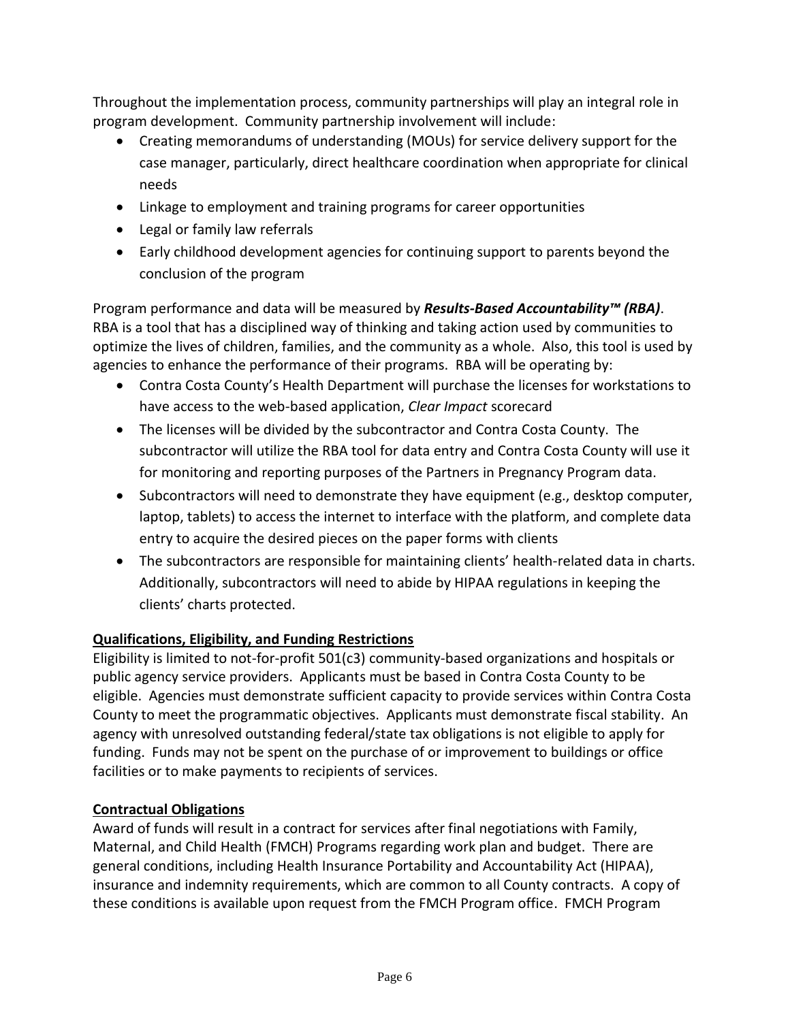Throughout the implementation process, community partnerships will play an integral role in program development. Community partnership involvement will include:

- Creating memorandums of understanding (MOUs) for service delivery support for the case manager, particularly, direct healthcare coordination when appropriate for clinical needs
- Linkage to employment and training programs for career opportunities
- Legal or family law referrals
- Early childhood development agencies for continuing support to parents beyond the conclusion of the program

Program performance and data will be measured by *Results-Based Accountability™ (RBA)*. RBA is a tool that has a disciplined way of thinking and taking action used by communities to optimize the lives of children, families, and the community as a whole. Also, this tool is used by agencies to enhance the performance of their programs. RBA will be operating by:

- Contra Costa County's Health Department will purchase the licenses for workstations to have access to the web-based application, *Clear Impact* scorecard
- The licenses will be divided by the subcontractor and Contra Costa County. The subcontractor will utilize the RBA tool for data entry and Contra Costa County will use it for monitoring and reporting purposes of the Partners in Pregnancy Program data.
- Subcontractors will need to demonstrate they have equipment (e.g., desktop computer, laptop, tablets) to access the internet to interface with the platform, and complete data entry to acquire the desired pieces on the paper forms with clients
- The subcontractors are responsible for maintaining clients' health-related data in charts. Additionally, subcontractors will need to abide by HIPAA regulations in keeping the clients' charts protected.

# **Qualifications, Eligibility, and Funding Restrictions**

Eligibility is limited to not-for-profit 501(c3) community-based organizations and hospitals or public agency service providers. Applicants must be based in Contra Costa County to be eligible. Agencies must demonstrate sufficient capacity to provide services within Contra Costa County to meet the programmatic objectives. Applicants must demonstrate fiscal stability. An agency with unresolved outstanding federal/state tax obligations is not eligible to apply for funding. Funds may not be spent on the purchase of or improvement to buildings or office facilities or to make payments to recipients of services.

## **Contractual Obligations**

Award of funds will result in a contract for services after final negotiations with Family, Maternal, and Child Health (FMCH) Programs regarding work plan and budget. There are general conditions, including Health Insurance Portability and Accountability Act (HIPAA), insurance and indemnity requirements, which are common to all County contracts. A copy of these conditions is available upon request from the FMCH Program office. FMCH Program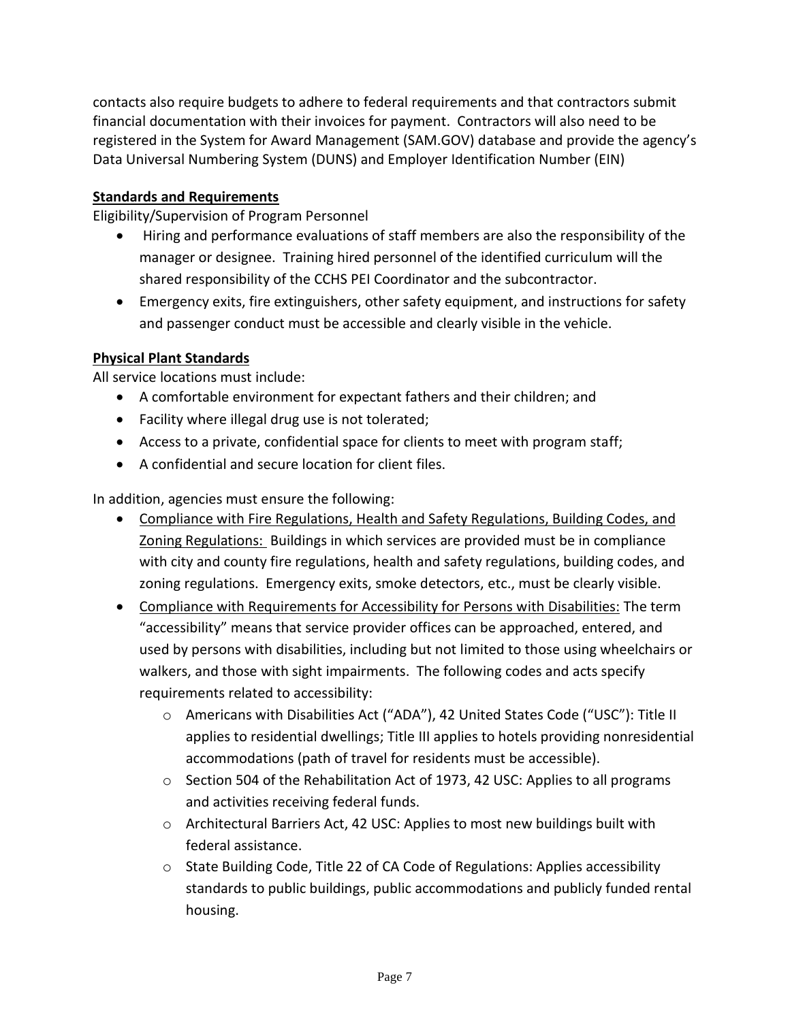contacts also require budgets to adhere to federal requirements and that contractors submit financial documentation with their invoices for payment. Contractors will also need to be registered in the System for Award Management (SAM.GOV) database and provide the agency's Data Universal Numbering System (DUNS) and Employer Identification Number (EIN)

## **Standards and Requirements**

Eligibility/Supervision of Program Personnel

- Hiring and performance evaluations of staff members are also the responsibility of the manager or designee. Training hired personnel of the identified curriculum will the shared responsibility of the CCHS PEI Coordinator and the subcontractor.
- Emergency exits, fire extinguishers, other safety equipment, and instructions for safety and passenger conduct must be accessible and clearly visible in the vehicle.

## **Physical Plant Standards**

All service locations must include:

- A comfortable environment for expectant fathers and their children; and
- Facility where illegal drug use is not tolerated;
- Access to a private, confidential space for clients to meet with program staff;
- A confidential and secure location for client files.

In addition, agencies must ensure the following:

- Compliance with Fire Regulations, Health and Safety Regulations, Building Codes, and Zoning Regulations: Buildings in which services are provided must be in compliance with city and county fire regulations, health and safety regulations, building codes, and zoning regulations. Emergency exits, smoke detectors, etc., must be clearly visible.
- Compliance with Requirements for Accessibility for Persons with Disabilities: The term "accessibility" means that service provider offices can be approached, entered, and used by persons with disabilities, including but not limited to those using wheelchairs or walkers, and those with sight impairments. The following codes and acts specify requirements related to accessibility:
	- o Americans with Disabilities Act ("ADA"), 42 United States Code ("USC"): Title II applies to residential dwellings; Title III applies to hotels providing nonresidential accommodations (path of travel for residents must be accessible).
	- o Section 504 of the Rehabilitation Act of 1973, 42 USC: Applies to all programs and activities receiving federal funds.
	- $\circ$  Architectural Barriers Act, 42 USC: Applies to most new buildings built with federal assistance.
	- o State Building Code, Title 22 of CA Code of Regulations: Applies accessibility standards to public buildings, public accommodations and publicly funded rental housing.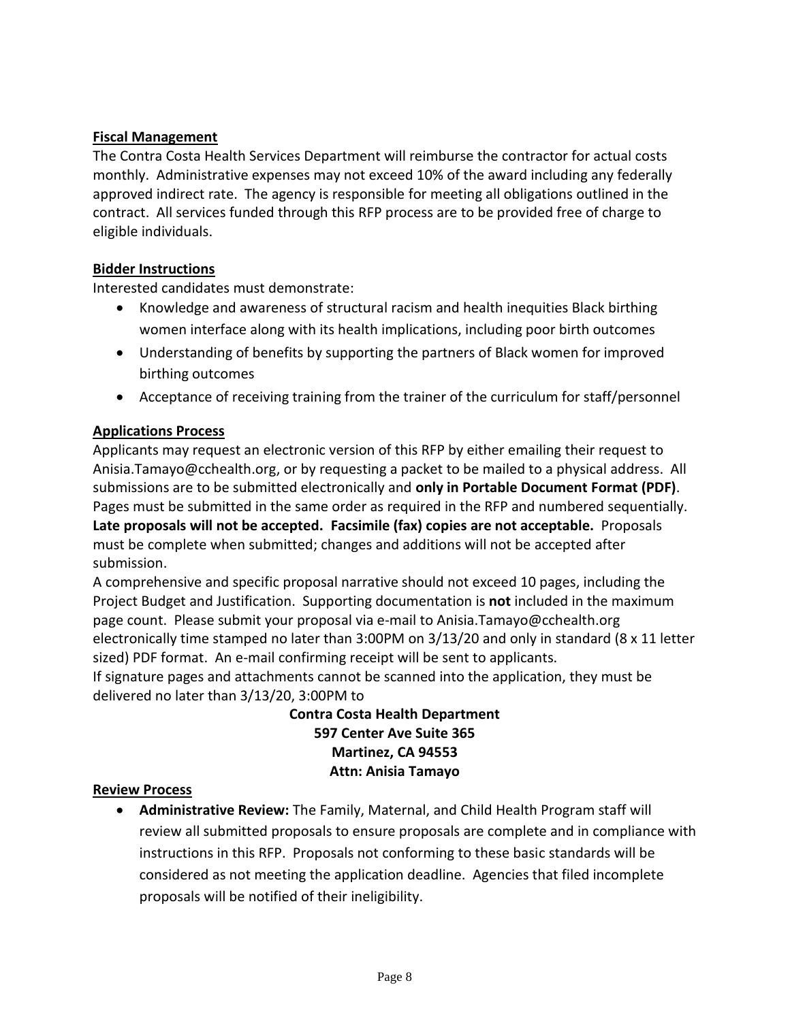## **Fiscal Management**

The Contra Costa Health Services Department will reimburse the contractor for actual costs monthly. Administrative expenses may not exceed 10% of the award including any federally approved indirect rate. The agency is responsible for meeting all obligations outlined in the contract. All services funded through this RFP process are to be provided free of charge to eligible individuals.

## **Bidder Instructions**

Interested candidates must demonstrate:

- Knowledge and awareness of structural racism and health inequities Black birthing women interface along with its health implications, including poor birth outcomes
- Understanding of benefits by supporting the partners of Black women for improved birthing outcomes
- Acceptance of receiving training from the trainer of the curriculum for staff/personnel

#### **Applications Process**

Applicants may request an electronic version of this RFP by either emailing their request to Anisia.Tamayo@cchealth.org, or by requesting a packet to be mailed to a physical address. All submissions are to be submitted electronically and **only in Portable Document Format (PDF)**. Pages must be submitted in the same order as required in the RFP and numbered sequentially. **Late proposals will not be accepted. Facsimile (fax) copies are not acceptable.** Proposals must be complete when submitted; changes and additions will not be accepted after submission.

A comprehensive and specific proposal narrative should not exceed 10 pages, including the Project Budget and Justification. Supporting documentation is **not** included in the maximum page count. Please submit your proposal via e-mail to Anisia.Tamayo@cchealth.org electronically time stamped no later than 3:00PM on 3/13/20 and only in standard (8 x 11 letter sized) PDF format. An e-mail confirming receipt will be sent to applicants. If signature pages and attachments cannot be scanned into the application, they must be

delivered no later than 3/13/20, 3:00PM to

**Contra Costa Health Department 597 Center Ave Suite 365 Martinez, CA 94553 Attn: Anisia Tamayo**

#### **Review Process**

• **Administrative Review:** The Family, Maternal, and Child Health Program staff will review all submitted proposals to ensure proposals are complete and in compliance with instructions in this RFP. Proposals not conforming to these basic standards will be considered as not meeting the application deadline. Agencies that filed incomplete proposals will be notified of their ineligibility.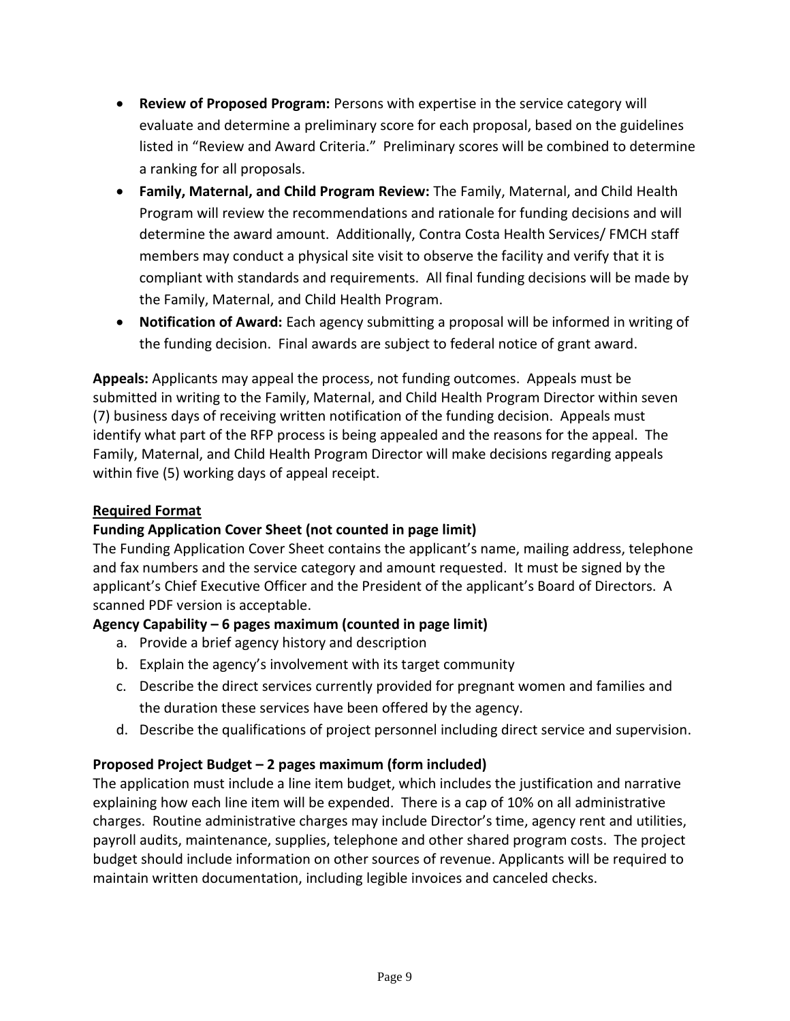- **Review of Proposed Program:** Persons with expertise in the service category will evaluate and determine a preliminary score for each proposal, based on the guidelines listed in "Review and Award Criteria." Preliminary scores will be combined to determine a ranking for all proposals.
- **Family, Maternal, and Child Program Review:** The Family, Maternal, and Child Health Program will review the recommendations and rationale for funding decisions and will determine the award amount. Additionally, Contra Costa Health Services/ FMCH staff members may conduct a physical site visit to observe the facility and verify that it is compliant with standards and requirements. All final funding decisions will be made by the Family, Maternal, and Child Health Program.
- **Notification of Award:** Each agency submitting a proposal will be informed in writing of the funding decision. Final awards are subject to federal notice of grant award.

**Appeals:** Applicants may appeal the process, not funding outcomes. Appeals must be submitted in writing to the Family, Maternal, and Child Health Program Director within seven (7) business days of receiving written notification of the funding decision. Appeals must identify what part of the RFP process is being appealed and the reasons for the appeal. The Family, Maternal, and Child Health Program Director will make decisions regarding appeals within five (5) working days of appeal receipt.

## **Required Format**

## **Funding Application Cover Sheet (not counted in page limit)**

The Funding Application Cover Sheet contains the applicant's name, mailing address, telephone and fax numbers and the service category and amount requested. It must be signed by the applicant's Chief Executive Officer and the President of the applicant's Board of Directors. A scanned PDF version is acceptable.

# **Agency Capability – 6 pages maximum (counted in page limit)**

- a. Provide a brief agency history and description
- b. Explain the agency's involvement with its target community
- c. Describe the direct services currently provided for pregnant women and families and the duration these services have been offered by the agency.
- d. Describe the qualifications of project personnel including direct service and supervision.

# **Proposed Project Budget – 2 pages maximum (form included)**

The application must include a line item budget, which includes the justification and narrative explaining how each line item will be expended. There is a cap of 10% on all administrative charges. Routine administrative charges may include Director's time, agency rent and utilities, payroll audits, maintenance, supplies, telephone and other shared program costs. The project budget should include information on other sources of revenue. Applicants will be required to maintain written documentation, including legible invoices and canceled checks.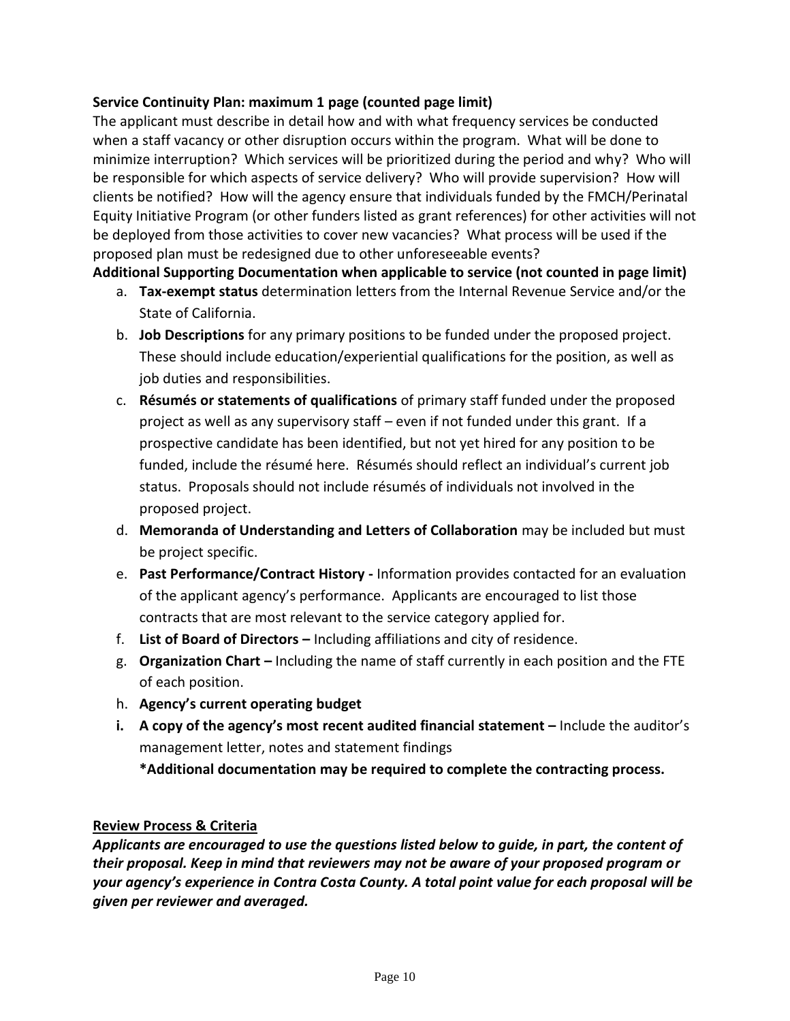#### **Service Continuity Plan: maximum 1 page (counted page limit)**

The applicant must describe in detail how and with what frequency services be conducted when a staff vacancy or other disruption occurs within the program. What will be done to minimize interruption? Which services will be prioritized during the period and why? Who will be responsible for which aspects of service delivery? Who will provide supervision? How will clients be notified? How will the agency ensure that individuals funded by the FMCH/Perinatal Equity Initiative Program (or other funders listed as grant references) for other activities will not be deployed from those activities to cover new vacancies? What process will be used if the proposed plan must be redesigned due to other unforeseeable events?

# **Additional Supporting Documentation when applicable to service (not counted in page limit)**

- a. **Tax-exempt status** determination letters from the Internal Revenue Service and/or the State of California.
- b. **Job Descriptions** for any primary positions to be funded under the proposed project. These should include education/experiential qualifications for the position, as well as job duties and responsibilities.
- c. **Résumés or statements of qualifications** of primary staff funded under the proposed project as well as any supervisory staff – even if not funded under this grant. If a prospective candidate has been identified, but not yet hired for any position to be funded, include the résumé here. Résumés should reflect an individual's current job status. Proposals should not include résumés of individuals not involved in the proposed project.
- d. **Memoranda of Understanding and Letters of Collaboration** may be included but must be project specific.
- e. **Past Performance/Contract History -** Information provides contacted for an evaluation of the applicant agency's performance. Applicants are encouraged to list those contracts that are most relevant to the service category applied for.
- f. **List of Board of Directors –** Including affiliations and city of residence.
- g. **Organization Chart –** Including the name of staff currently in each position and the FTE of each position.
- h. **Agency's current operating budget**
- **i.** A copy of the agency's most recent audited financial statement Include the auditor's management letter, notes and statement findings

**\*Additional documentation may be required to complete the contracting process.**

## **Review Process & Criteria**

*Applicants are encouraged to use the questions listed below to guide, in part, the content of their proposal. Keep in mind that reviewers may not be aware of your proposed program or your agency's experience in Contra Costa County. A total point value for each proposal will be given per reviewer and averaged.*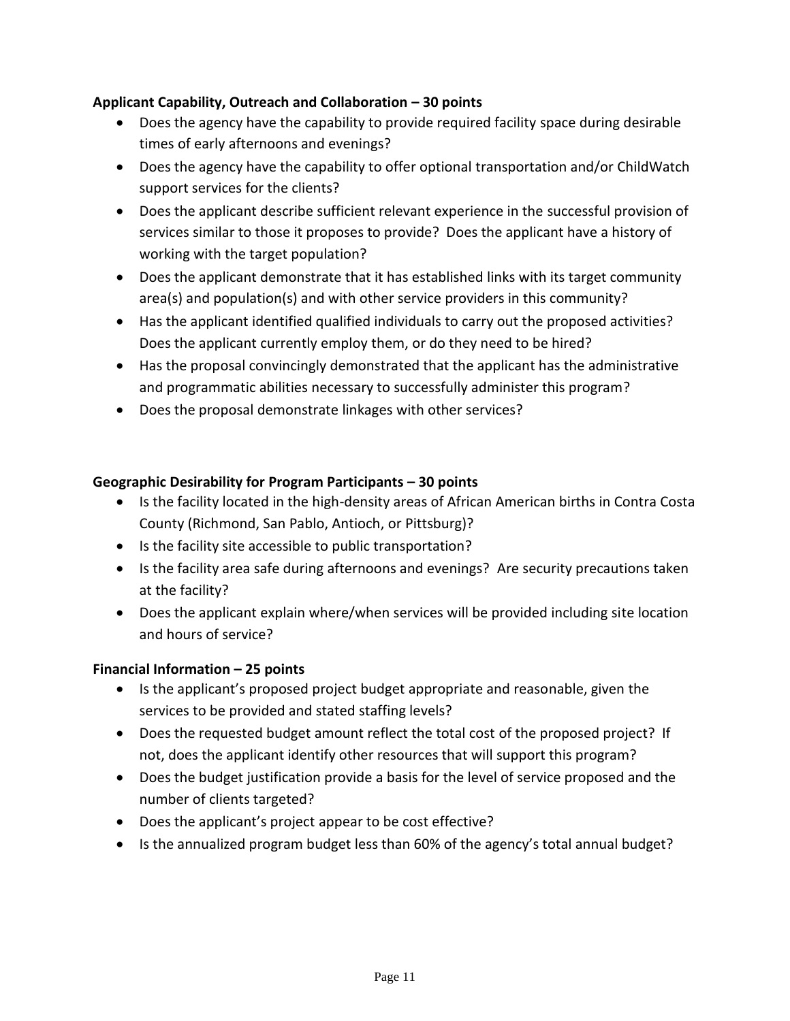## **Applicant Capability, Outreach and Collaboration – 30 points**

- Does the agency have the capability to provide required facility space during desirable times of early afternoons and evenings?
- Does the agency have the capability to offer optional transportation and/or ChildWatch support services for the clients?
- Does the applicant describe sufficient relevant experience in the successful provision of services similar to those it proposes to provide? Does the applicant have a history of working with the target population?
- Does the applicant demonstrate that it has established links with its target community area(s) and population(s) and with other service providers in this community?
- Has the applicant identified qualified individuals to carry out the proposed activities? Does the applicant currently employ them, or do they need to be hired?
- Has the proposal convincingly demonstrated that the applicant has the administrative and programmatic abilities necessary to successfully administer this program?
- Does the proposal demonstrate linkages with other services?

# **Geographic Desirability for Program Participants – 30 points**

- Is the facility located in the high-density areas of African American births in Contra Costa County (Richmond, San Pablo, Antioch, or Pittsburg)?
- Is the facility site accessible to public transportation?
- Is the facility area safe during afternoons and evenings? Are security precautions taken at the facility?
- Does the applicant explain where/when services will be provided including site location and hours of service?

## **Financial Information – 25 points**

- Is the applicant's proposed project budget appropriate and reasonable, given the services to be provided and stated staffing levels?
- Does the requested budget amount reflect the total cost of the proposed project? If not, does the applicant identify other resources that will support this program?
- Does the budget justification provide a basis for the level of service proposed and the number of clients targeted?
- Does the applicant's project appear to be cost effective?
- Is the annualized program budget less than 60% of the agency's total annual budget?